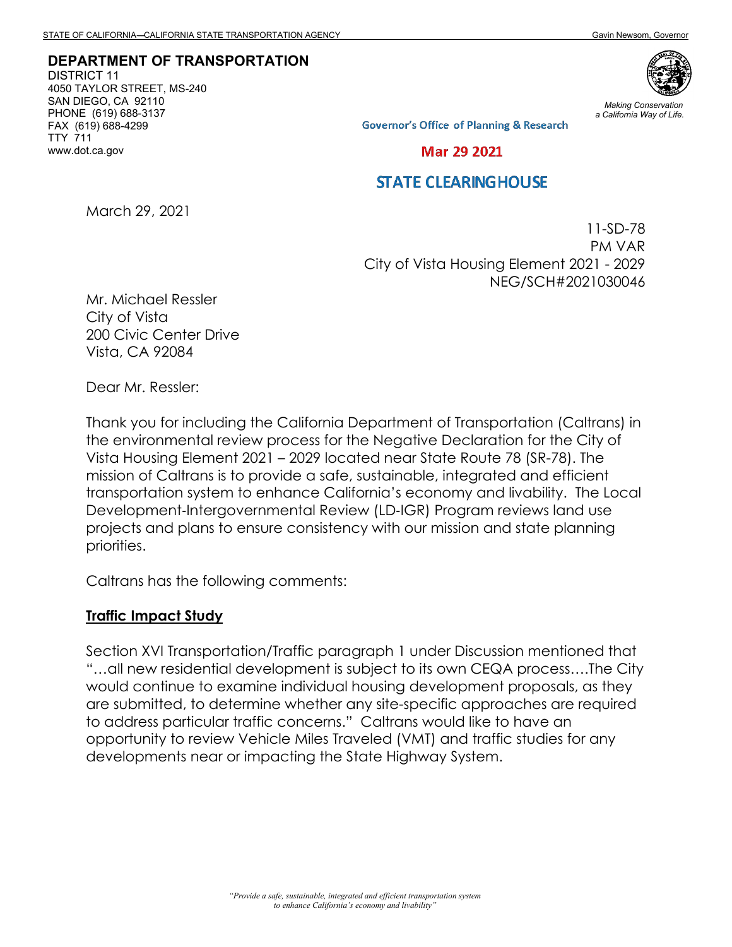**DEPARTMENT OF TRANSPORTATION**

DISTRICT 11 4050 TAYLOR STREET, MS-240 SAN DIEGO, CA 92110 PHONE (619) 688-3137 FAX (619) 688-4299 TTY 711 www.dot.ca.gov



*Making Conservation a California Way of Life.*

**Governor's Office of Planning & Research** 

Mar 29 2021

## **STATE CLEARING HOUSE**

March 29, 2021

11-SD-78 PM VAR City of Vista Housing Element 2021 - 2029 NEG/SCH#2021030046

Mr. Michael Ressler City of Vista 200 Civic Center Drive Vista, CA 92084

Dear Mr. Ressler:

Thank you for including the California Department of Transportation (Caltrans) in the environmental review process for the Negative Declaration for the City of Vista Housing Element 2021 – 2029 located near State Route 78 (SR-78). The mission of Caltrans is to provide a safe, sustainable, integrated and efficient transportation system to enhance California's economy and livability. The Local Development-Intergovernmental Review (LD-IGR) Program reviews land use projects and plans to ensure consistency with our mission and state planning priorities.

Caltrans has the following comments:

#### **Traffic Impact Study**

Section XVI Transportation/Traffic paragraph 1 under Discussion mentioned that "…all new residential development is subject to its own CEQA process….The City would continue to examine individual housing development proposals, as they are submitted, to determine whether any site-specific approaches are required to address particular traffic concerns." Caltrans would like to have an opportunity to review Vehicle Miles Traveled (VMT) and traffic studies for any developments near or impacting the State Highway System.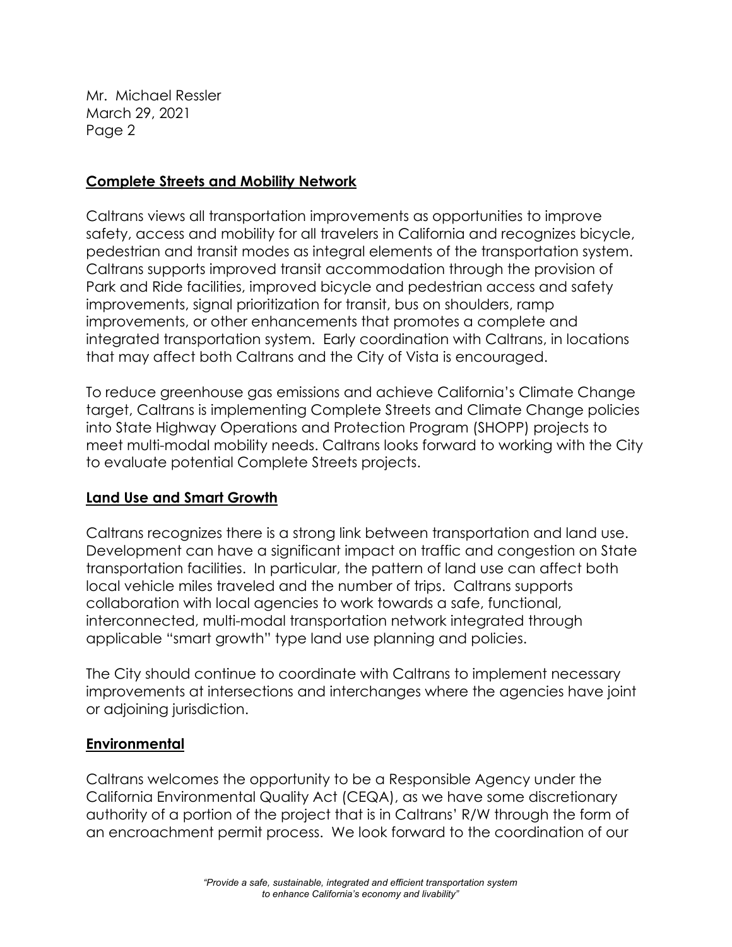Mr. Michael Ressler March 29, 2021 Page 2

## **Complete Streets and Mobility Network**

Caltrans views all transportation improvements as opportunities to improve safety, access and mobility for all travelers in California and recognizes bicycle, pedestrian and transit modes as integral elements of the transportation system. Caltrans supports improved transit accommodation through the provision of Park and Ride facilities, improved bicycle and pedestrian access and safety improvements, signal prioritization for transit, bus on shoulders, ramp improvements, or other enhancements that promotes a complete and integrated transportation system. Early coordination with Caltrans, in locations that may affect both Caltrans and the City of Vista is encouraged.

To reduce greenhouse gas emissions and achieve California's Climate Change target, Caltrans is implementing Complete Streets and Climate Change policies into State Highway Operations and Protection Program (SHOPP) projects to meet multi-modal mobility needs. Caltrans looks forward to working with the City to evaluate potential Complete Streets projects.

# **Land Use and Smart Growth**

Caltrans recognizes there is a strong link between transportation and land use. Development can have a significant impact on traffic and congestion on State transportation facilities. In particular, the pattern of land use can affect both local vehicle miles traveled and the number of trips. Caltrans supports collaboration with local agencies to work towards a safe, functional, interconnected, multi-modal transportation network integrated through applicable "smart growth" type land use planning and policies.

The City should continue to coordinate with Caltrans to implement necessary improvements at intersections and interchanges where the agencies have joint or adjoining jurisdiction.

# **Environmental**

Caltrans welcomes the opportunity to be a Responsible Agency under the California Environmental Quality Act (CEQA), as we have some discretionary authority of a portion of the project that is in Caltrans' R/W through the form of an encroachment permit process. We look forward to the coordination of our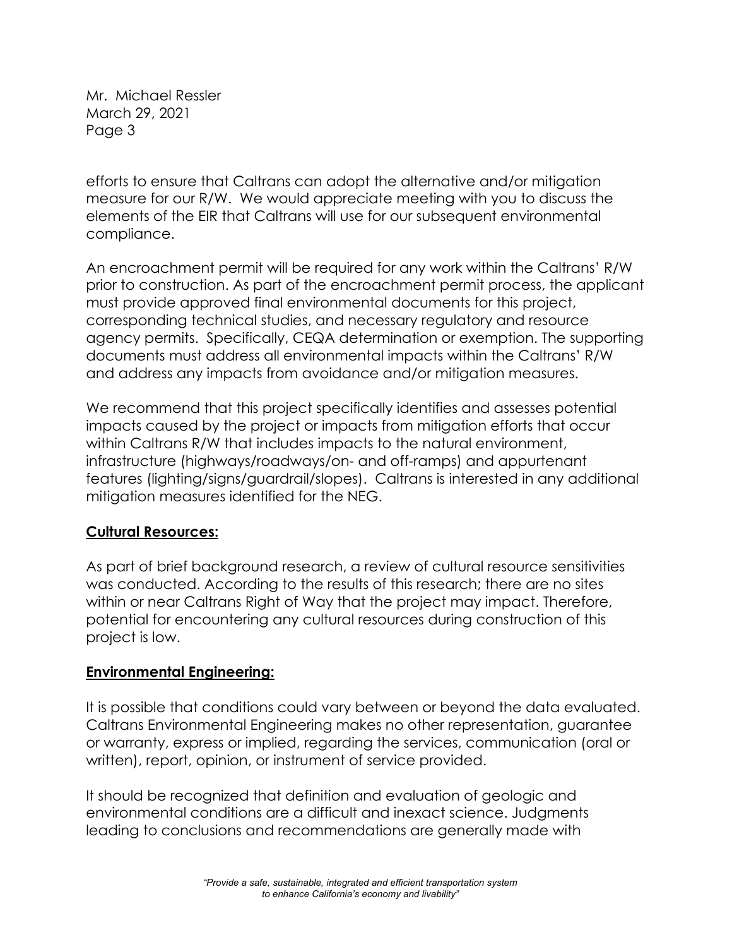Mr. Michael Ressler March 29, 2021 Page 3

efforts to ensure that Caltrans can adopt the alternative and/or mitigation measure for our R/W. We would appreciate meeting with you to discuss the elements of the EIR that Caltrans will use for our subsequent environmental compliance.

An encroachment permit will be required for any work within the Caltrans' R/W prior to construction. As part of the encroachment permit process, the applicant must provide approved final environmental documents for this project, corresponding technical studies, and necessary regulatory and resource agency permits. Specifically, CEQA determination or exemption. The supporting documents must address all environmental impacts within the Caltrans' R/W and address any impacts from avoidance and/or mitigation measures.

We recommend that this project specifically identifies and assesses potential impacts caused by the project or impacts from mitigation efforts that occur within Caltrans R/W that includes impacts to the natural environment, infrastructure (highways/roadways/on- and off-ramps) and appurtenant features (lighting/signs/guardrail/slopes). Caltrans is interested in any additional mitigation measures identified for the NEG.

### **Cultural Resources:**

As part of brief background research, a review of cultural resource sensitivities was conducted. According to the results of this research; there are no sites within or near Caltrans Right of Way that the project may impact. Therefore, potential for encountering any cultural resources during construction of this project is low.

### **Environmental Engineering:**

It is possible that conditions could vary between or beyond the data evaluated. Caltrans Environmental Engineering makes no other representation, guarantee or warranty, express or implied, regarding the services, communication (oral or written), report, opinion, or instrument of service provided.

It should be recognized that definition and evaluation of geologic and environmental conditions are a difficult and inexact science. Judgments leading to conclusions and recommendations are generally made with